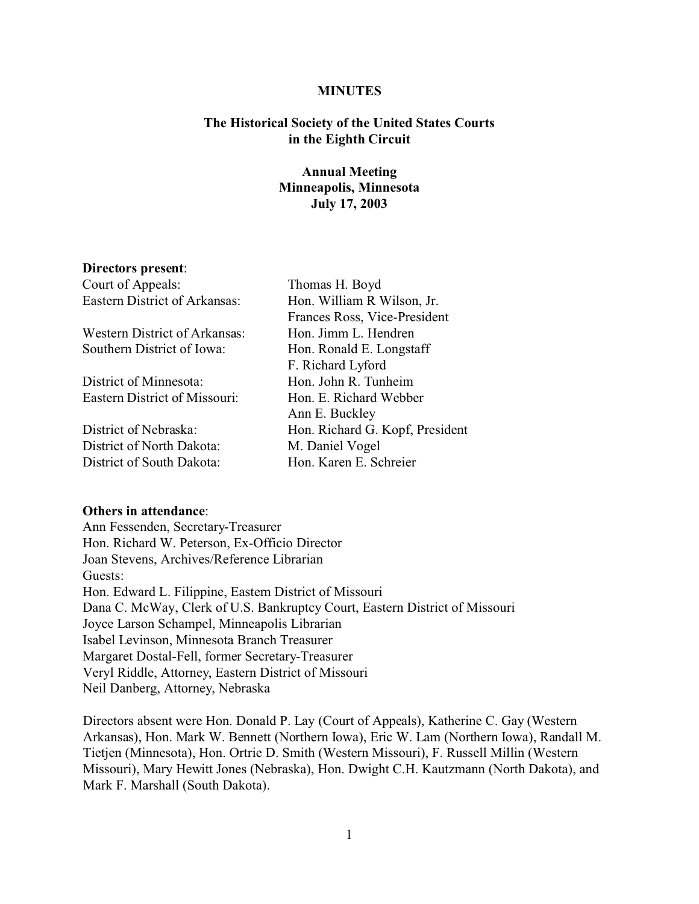### **MINUTES**

## **The Historical Society of the United States Courts in the Eighth Circuit**

# **Annual Meeting Minneapolis, Minnesota July 17, 2003**

### **Directors present**:

| Court of Appeals:                    | Thomas H. Boyd                  |
|--------------------------------------|---------------------------------|
| <b>Eastern District of Arkansas:</b> | Hon. William R Wilson, Jr.      |
|                                      | Frances Ross, Vice-President    |
| <b>Western District of Arkansas:</b> | Hon. Jimm L. Hendren            |
| Southern District of Iowa:           | Hon. Ronald E. Longstaff        |
|                                      | F. Richard Lyford               |
| District of Minnesota:               | Hon. John R. Tunheim            |
| <b>Eastern District of Missouri:</b> | Hon. E. Richard Webber          |
|                                      | Ann E. Buckley                  |
| District of Nebraska:                | Hon. Richard G. Kopf, President |
| District of North Dakota:            | M. Daniel Vogel                 |
| District of South Dakota:            | Hon. Karen E. Schreier          |
|                                      |                                 |

### **Others in attendance**:

Ann Fessenden, Secretary-Treasurer Hon. Richard W. Peterson, Ex-Officio Director Joan Stevens, Archives/Reference Librarian Guests: Hon. Edward L. Filippine, Eastern District of Missouri Dana C. McWay, Clerk of U.S. Bankruptcy Court, Eastern District of Missouri Joyce Larson Schampel, Minneapolis Librarian Isabel Levinson, Minnesota Branch Treasurer Margaret Dostal-Fell, former Secretary-Treasurer Veryl Riddle, Attorney, Eastern District of Missouri Neil Danberg, Attorney, Nebraska

Directors absent were Hon. Donald P. Lay (Court of Appeals), Katherine C. Gay (Western Arkansas), Hon. Mark W. Bennett (Northern Iowa), Eric W. Lam (Northern Iowa), Randall M. Tietjen (Minnesota), Hon. Ortrie D. Smith (Western Missouri), F. Russell Millin (Western Missouri), Mary Hewitt Jones (Nebraska), Hon. Dwight C.H. Kautzmann (North Dakota), and Mark F. Marshall (South Dakota).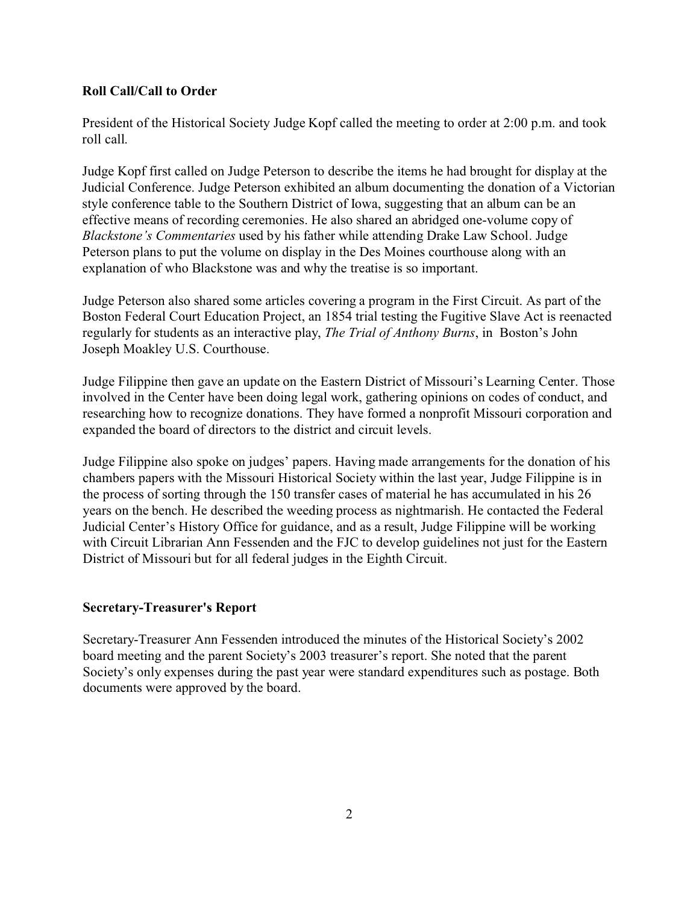## **Roll Call/Call to Order**

President of the Historical Society Judge Kopf called the meeting to order at 2:00 p.m. and took roll call.

Judge Kopf first called on Judge Peterson to describe the items he had brought for display at the Judicial Conference. Judge Peterson exhibited an album documenting the donation of a Victorian style conference table to the Southern District of Iowa, suggesting that an album can be an effective means of recording ceremonies. He also shared an abridged one-volume copy of *Blackstone's Commentaries* used by his father while attending Drake Law School. Judge Peterson plans to put the volume on display in the Des Moines courthouse along with an explanation of who Blackstone was and why the treatise is so important.

Judge Peterson also shared some articles covering a program in the First Circuit. As part of the Boston Federal Court Education Project, an 1854 trial testing the Fugitive Slave Act is reenacted regularly for students as an interactive play, *The Trial of Anthony Burns*, in Boston's John Joseph Moakley U.S. Courthouse.

Judge Filippine then gave an update on the Eastern District of Missouri's Learning Center. Those involved in the Center have been doing legal work, gathering opinions on codes of conduct, and researching how to recognize donations. They have formed a nonprofit Missouri corporation and expanded the board of directors to the district and circuit levels.

Judge Filippine also spoke on judges' papers. Having made arrangements for the donation of his chambers papers with the Missouri Historical Society within the last year, Judge Filippine is in the process of sorting through the 150 transfer cases of material he has accumulated in his 26 years on the bench. He described the weeding process as nightmarish. He contacted the Federal Judicial Center's History Office for guidance, and as a result, Judge Filippine will be working with Circuit Librarian Ann Fessenden and the FJC to develop guidelines not just for the Eastern District of Missouri but for all federal judges in the Eighth Circuit.

## **Secretary-Treasurer's Report**

Secretary-Treasurer Ann Fessenden introduced the minutes of the Historical Society's 2002 board meeting and the parent Society's 2003 treasurer's report. She noted that the parent Society's only expenses during the past year were standard expenditures such as postage. Both documents were approved by the board.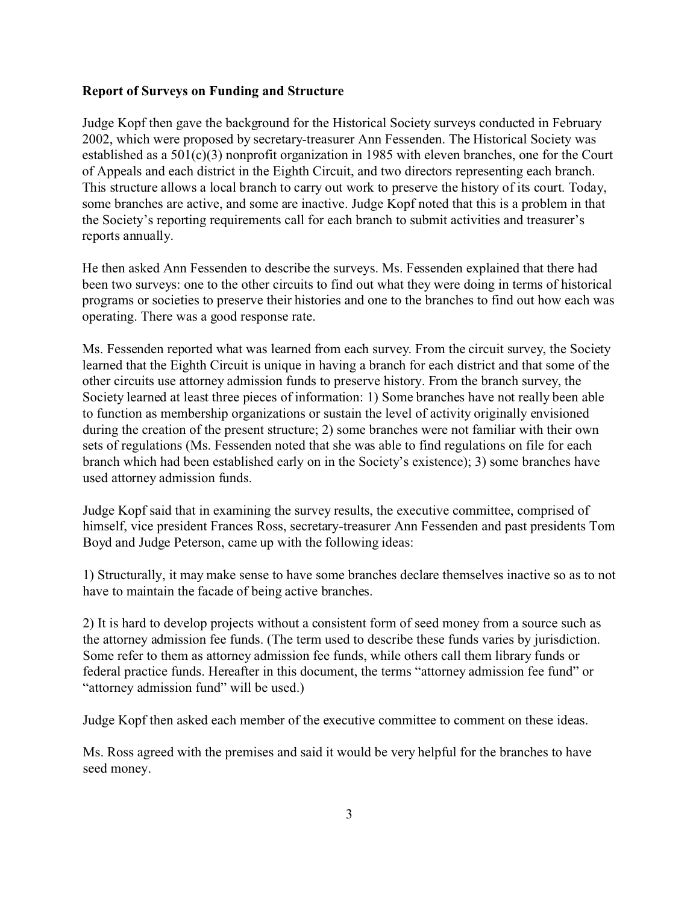## **Report of Surveys on Funding and Structure**

Judge Kopf then gave the background for the Historical Society surveys conducted in February 2002, which were proposed by secretary-treasurer Ann Fessenden. The Historical Society was established as a 501(c)(3) nonprofit organization in 1985 with eleven branches, one for the Court of Appeals and each district in the Eighth Circuit, and two directors representing each branch. This structure allows a local branch to carry out work to preserve the history of its court. Today, some branches are active, and some are inactive. Judge Kopf noted that this is a problem in that the Society's reporting requirements call for each branch to submit activities and treasurer's reports annually.

He then asked Ann Fessenden to describe the surveys. Ms. Fessenden explained that there had been two surveys: one to the other circuits to find out what they were doing in terms of historical programs or societies to preserve their histories and one to the branches to find out how each was operating. There was a good response rate.

Ms. Fessenden reported what was learned from each survey. From the circuit survey, the Society learned that the Eighth Circuit is unique in having a branch for each district and that some of the other circuits use attorney admission funds to preserve history. From the branch survey, the Society learned at least three pieces of information: 1) Some branches have not really been able to function as membership organizations or sustain the level of activity originally envisioned during the creation of the present structure; 2) some branches were not familiar with their own sets of regulations (Ms. Fessenden noted that she was able to find regulations on file for each branch which had been established early on in the Society's existence); 3) some branches have used attorney admission funds.

Judge Kopf said that in examining the survey results, the executive committee, comprised of himself, vice president Frances Ross, secretary-treasurer Ann Fessenden and past presidents Tom Boyd and Judge Peterson, came up with the following ideas:

1) Structurally, it may make sense to have some branches declare themselves inactive so as to not have to maintain the facade of being active branches.

2) It is hard to develop projects without a consistent form of seed money from a source such as the attorney admission fee funds. (The term used to describe these funds varies by jurisdiction. Some refer to them as attorney admission fee funds, while others call them library funds or federal practice funds. Hereafter in this document, the terms "attorney admission fee fund" or "attorney admission fund" will be used.)

Judge Kopf then asked each member of the executive committee to comment on these ideas.

Ms. Ross agreed with the premises and said it would be very helpful for the branches to have seed money.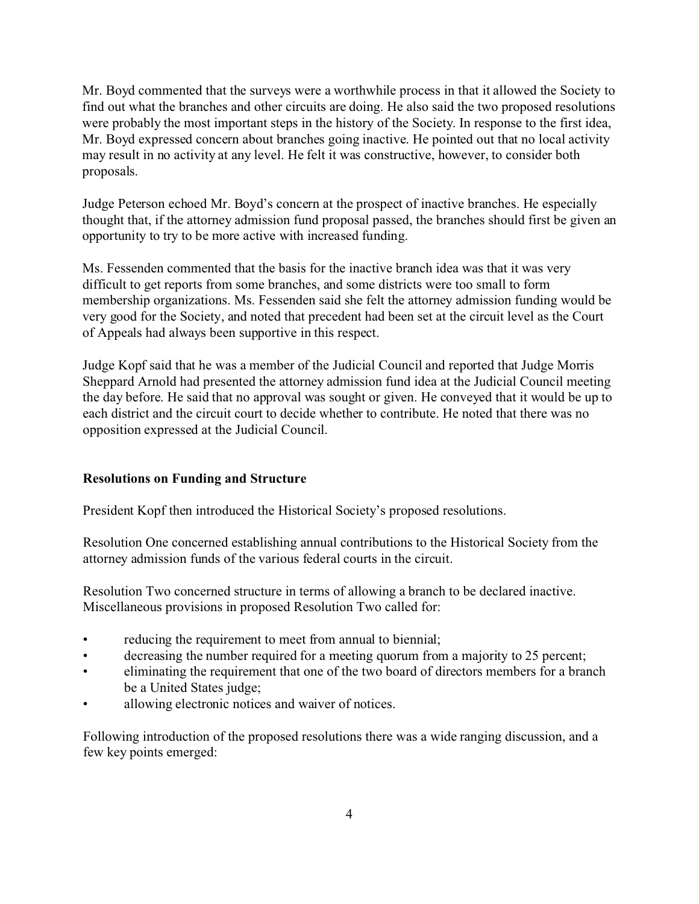Mr. Boyd commented that the surveys were a worthwhile process in that it allowed the Society to find out what the branches and other circuits are doing. He also said the two proposed resolutions were probably the most important steps in the history of the Society. In response to the first idea, Mr. Boyd expressed concern about branches going inactive. He pointed out that no local activity may result in no activity at any level. He felt it was constructive, however, to consider both proposals.

Judge Peterson echoed Mr. Boyd's concern at the prospect of inactive branches. He especially thought that, if the attorney admission fund proposal passed, the branches should first be given an opportunity to try to be more active with increased funding.

Ms. Fessenden commented that the basis for the inactive branch idea was that it was very difficult to get reports from some branches, and some districts were too small to form membership organizations. Ms. Fessenden said she felt the attorney admission funding would be very good for the Society, and noted that precedent had been set at the circuit level as the Court of Appeals had always been supportive in this respect.

Judge Kopf said that he was a member of the Judicial Council and reported that Judge Morris Sheppard Arnold had presented the attorney admission fund idea at the Judicial Council meeting the day before. He said that no approval was sought or given. He conveyed that it would be up to each district and the circuit court to decide whether to contribute. He noted that there was no opposition expressed at the Judicial Council.

# **Resolutions on Funding and Structure**

President Kopf then introduced the Historical Society's proposed resolutions.

Resolution One concerned establishing annual contributions to the Historical Society from the attorney admission funds of the various federal courts in the circuit.

Resolution Two concerned structure in terms of allowing a branch to be declared inactive. Miscellaneous provisions in proposed Resolution Two called for:

- reducing the requirement to meet from annual to biennial;
- decreasing the number required for a meeting quorum from a majority to 25 percent;
- eliminating the requirement that one of the two board of directors members for a branch be a United States judge;
- allowing electronic notices and waiver of notices.

Following introduction of the proposed resolutions there was a wide ranging discussion, and a few key points emerged: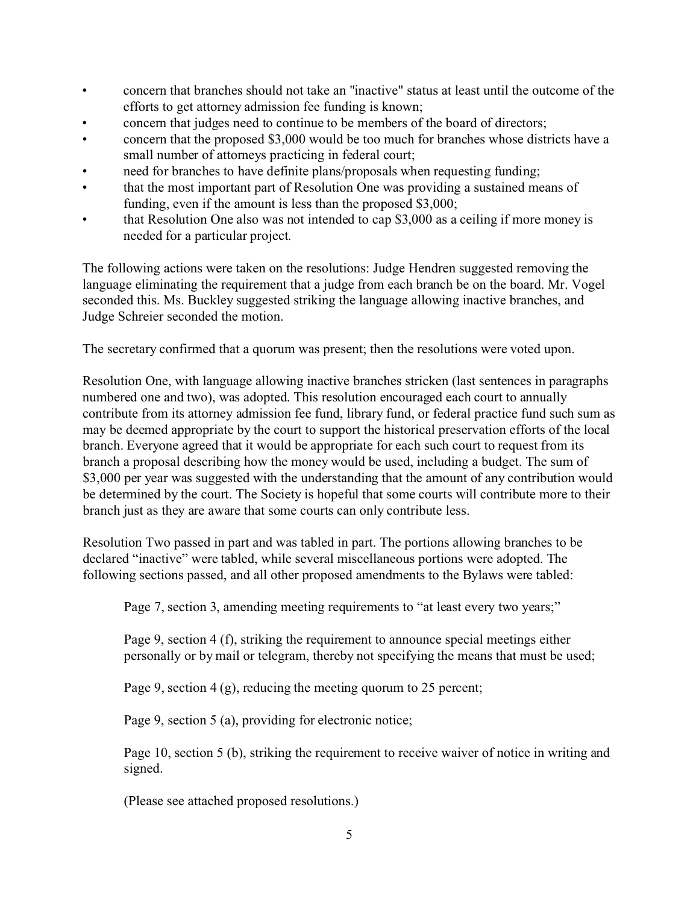- concern that branches should not take an "inactive" status at least until the outcome of the efforts to get attorney admission fee funding is known;
- concern that judges need to continue to be members of the board of directors;
- concern that the proposed \$3,000 would be too much for branches whose districts have a small number of attorneys practicing in federal court;
- need for branches to have definite plans/proposals when requesting funding;
- that the most important part of Resolution One was providing a sustained means of funding, even if the amount is less than the proposed \$3,000;
- that Resolution One also was not intended to cap \$3,000 as a ceiling if more money is needed for a particular project.

The following actions were taken on the resolutions: Judge Hendren suggested removing the language eliminating the requirement that a judge from each branch be on the board. Mr. Vogel seconded this. Ms. Buckley suggested striking the language allowing inactive branches, and Judge Schreier seconded the motion.

The secretary confirmed that a quorum was present; then the resolutions were voted upon.

Resolution One, with language allowing inactive branches stricken (last sentences in paragraphs numbered one and two), was adopted. This resolution encouraged each court to annually contribute from its attorney admission fee fund, library fund, or federal practice fund such sum as may be deemed appropriate by the court to support the historical preservation efforts of the local branch. Everyone agreed that it would be appropriate for each such court to request from its branch a proposal describing how the money would be used, including a budget. The sum of \$3,000 per year was suggested with the understanding that the amount of any contribution would be determined by the court. The Society is hopeful that some courts will contribute more to their branch just as they are aware that some courts can only contribute less.

Resolution Two passed in part and was tabled in part. The portions allowing branches to be declared "inactive" were tabled, while several miscellaneous portions were adopted. The following sections passed, and all other proposed amendments to the Bylaws were tabled:

Page 7, section 3, amending meeting requirements to "at least every two years;"

Page 9, section 4 (f), striking the requirement to announce special meetings either personally or by mail or telegram, thereby not specifying the means that must be used;

Page 9, section 4 (g), reducing the meeting quorum to 25 percent;

Page 9, section 5 (a), providing for electronic notice;

Page 10, section 5 (b), striking the requirement to receive waiver of notice in writing and signed.

(Please see attached proposed resolutions.)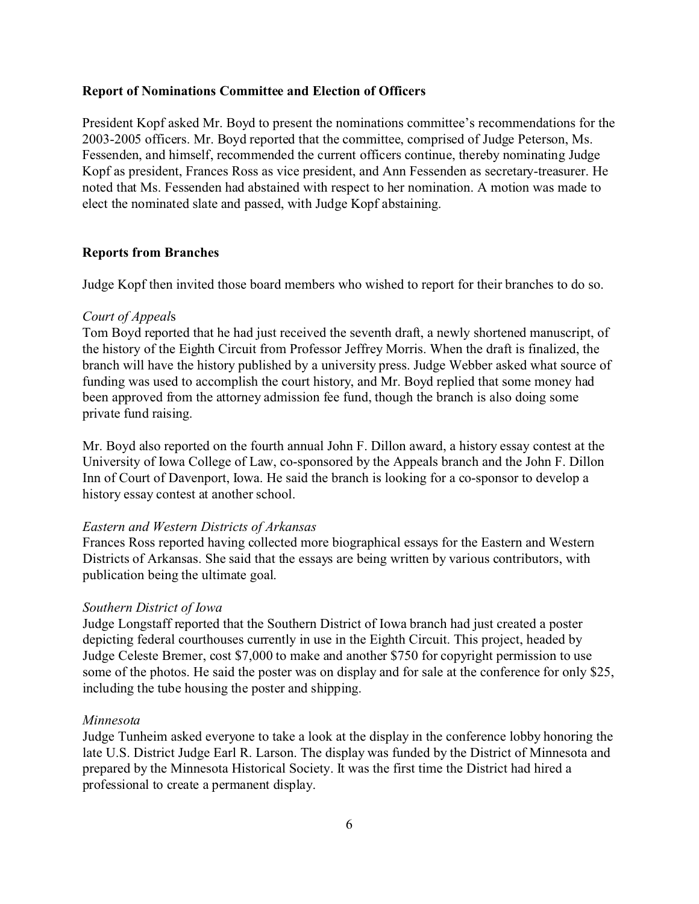## **Report of Nominations Committee and Election of Officers**

President Kopf asked Mr. Boyd to present the nominations committee's recommendations for the 2003-2005 officers. Mr. Boyd reported that the committee, comprised of Judge Peterson, Ms. Fessenden, and himself, recommended the current officers continue, thereby nominating Judge Kopf as president, Frances Ross as vice president, and Ann Fessenden as secretary-treasurer. He noted that Ms. Fessenden had abstained with respect to her nomination. A motion was made to elect the nominated slate and passed, with Judge Kopf abstaining.

### **Reports from Branches**

Judge Kopf then invited those board members who wished to report for their branches to do so.

### *Court of Appeal*s

Tom Boyd reported that he had just received the seventh draft, a newly shortened manuscript, of the history of the Eighth Circuit from Professor Jeffrey Morris. When the draft is finalized, the branch will have the history published by a university press. Judge Webber asked what source of funding was used to accomplish the court history, and Mr. Boyd replied that some money had been approved from the attorney admission fee fund, though the branch is also doing some private fund raising.

Mr. Boyd also reported on the fourth annual John F. Dillon award, a history essay contest at the University of Iowa College of Law, co-sponsored by the Appeals branch and the John F. Dillon Inn of Court of Davenport, Iowa. He said the branch is looking for a co-sponsor to develop a history essay contest at another school.

### *Eastern and Western Districts of Arkansas*

Frances Ross reported having collected more biographical essays for the Eastern and Western Districts of Arkansas. She said that the essays are being written by various contributors, with publication being the ultimate goal.

### *Southern District of Iowa*

Judge Longstaff reported that the Southern District of Iowa branch had just created a poster depicting federal courthouses currently in use in the Eighth Circuit. This project, headed by Judge Celeste Bremer, cost \$7,000 to make and another \$750 for copyright permission to use some of the photos. He said the poster was on display and for sale at the conference for only \$25, including the tube housing the poster and shipping.

### *Minnesota*

Judge Tunheim asked everyone to take a look at the display in the conference lobby honoring the late U.S. District Judge Earl R. Larson. The display was funded by the District of Minnesota and prepared by the Minnesota Historical Society. It was the first time the District had hired a professional to create a permanent display.